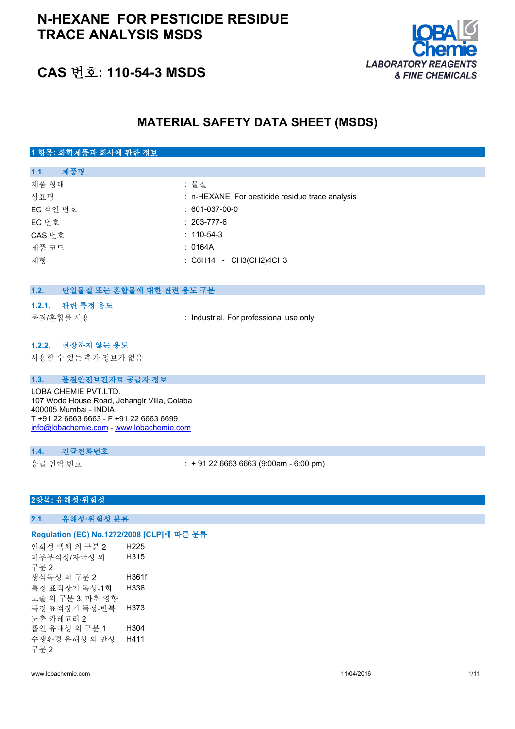# **N-HEXANE FOR PESTICIDE RESIDUE TRACE ANALYSIS MSDS**



# **CAS 번호: 110-54-3 MSDS**

# **MATERIAL SAFETY DATA SHEET (MSDS)**

## **1 항목: 화학제품과 회사에 관한 정보**

| 제품명<br>1.1. |                                                 |
|-------------|-------------------------------------------------|
| 제품 형태       | : 물질                                            |
| 상표명         | : n-HEXANE For pesticide residue trace analysis |
| EC 색인 번호    | $: 601-037-00-0$                                |
| EC 번호       | $: 203 - 777 - 6$                               |
| CAS 번호      | $: 110 - 54 - 3$                                |
| 제품 코드       | : 0164A                                         |
| 제형          | $\therefore$ C6H14 - CH3(CH2)4CH3               |
|             |                                                 |

## **1.2. 단일물질 또는 혼합물에 대한 관련 용도 구분**

#### **1.2.1. 관련 특정 용도**

물질/혼합물 사용 : Industrial. For professional use only

### **1.2.2. 권장하지 않는 용도**

사용할 수 있는 추가 정보가 없음

### **1.3. 물질안전보건자료 공급자 정보**

LOBA CHEMIE PVT.LTD. 107 Wode House Road, Jehangir Villa, Colaba 400005 Mumbai - INDIA T +91 22 6663 6663 - F +91 22 6663 6699 [info@lobachemie.com](mailto:info@lobachemie.com) - <www.lobachemie.com>

#### **1.4. 긴급전화번호**

응급 연락 번호 : + 91 22 6663 6663 (9:00am - 6:00 pm)

## **2항목: 유해성·위험성**

### **2.1. 유해성·위험성 분류**

#### **Regulation (EC) No.1272/2008 [CLP]에 따른 분류**

인화성 액체 의 구분 2 H225 피부부식성/자극성 의 구분 2 H315 생식독성 의 구분 2 H361f 특정 표적장기 독성-1회 노출 의 구분 3, 마취 영향 H336 특정 표적장기 독성-반복 노출 카테고리 2 H373 흡인 유해성 의 구분 1 H304 수생환경 유해성 의 만성 구분 2 H411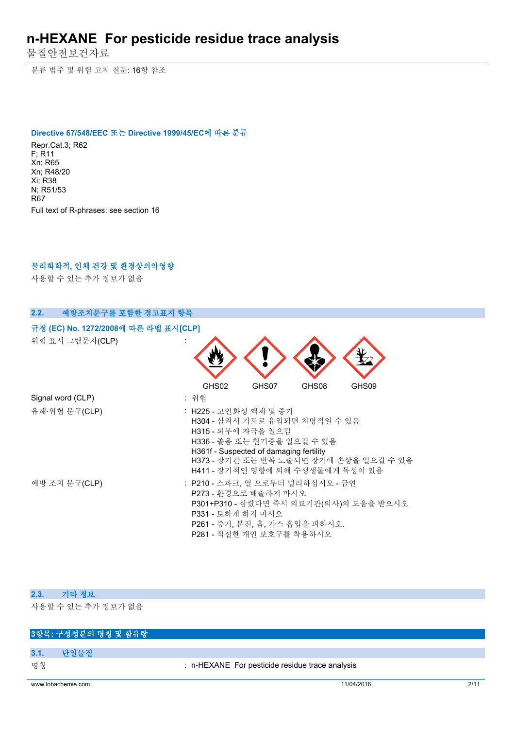물질안전보건자료

분류 범주 및 위험 고지 전문: 16항 참조

#### **Directive 67/548/EEC 또는 Directive 1999/45/EC에 따른 분류**

Repr.Cat.3; R62 F; R11 Xn; R65 Xn; R48/20 Xi; R38 N; R51/53 R67 Full text of R-phrases: see section 16

# **물리화학적, 인체 건강 및 환경상의악영향**

사용할 수 있는 추가 정보가 없음

| 예방조치문구를 포함한 경고표지 항목<br>2.2.          |                                                                                                                                                                                                                                     |
|--------------------------------------|-------------------------------------------------------------------------------------------------------------------------------------------------------------------------------------------------------------------------------------|
| 규정 (EC) No. 1272/2008에 따른 라벨 표시[CLP] |                                                                                                                                                                                                                                     |
| 위험 표시 그림문자(CLP)                      | GHS02<br>GHS07<br>GHS08<br>GHS09                                                                                                                                                                                                    |
| Signal word (CLP)                    | : 위험                                                                                                                                                                                                                                |
| 유해·위험 문구(CLP)                        | : H225 - 고인화성 액체 및 증기<br>H304 - 삼켜서 기도로 유입되면 치명적일 수 있음<br>H315 - 피부에 자극을 일으킴<br>H336 - 졸음 또는 현기증을 일으킬 수 있음<br>H361f - Suspected of damaging fertility<br>H373 - 장기간 또는 반복 노출되면 장기에 손상을 일으킬 수 있음<br>H411 - 장기적인 영향에 의해 수생생물에게 독성이 있음 |
| 예방 조치 문구(CLP)                        | : P210 - 스파크, 열 으로부터 멀리하십시오 - 금연<br>P273 - 환경으로 배출하지 마시오<br>P301+P310 - 삼켰다면 즉시 의료기관(의사)의 도움을 받으시오<br>P331 - 토하게 하지 마시오<br>P261 - 증기, 분진, 흄, 가스 흡입을 피하시오.<br>P281 - 적절한 개인 보호구를 착용하시오                                               |

### **2.3. 기타 정보**

사용할 수 있는 추가 정보가 없음

# **3항목: 구성성분의 명칭 및 함유량**

- **3.1. 단일물질**
- 

명칭 : n-HEXANE For pesticide residue trace analysis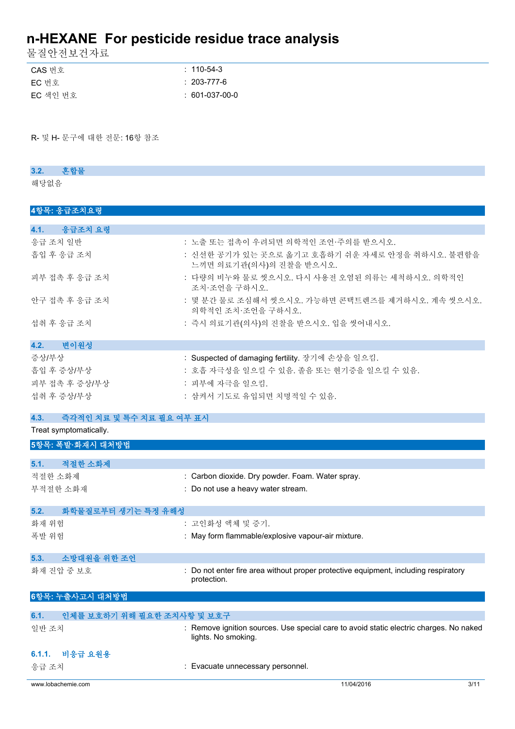물질안전보건자료

| CAS 번호   | $: 110 - 54 - 3$  |
|----------|-------------------|
| EC 번호    | $: 203 - 777 - 6$ |
| EC 색인 번호 | $: 601-037-00-0$  |

R- 및 H- 문구에 대한 전문: 16항 참조

## **3.2. 혼합물**

해당없음

## **4항목: 응급조치요령**

| 4.1. 응급조치 요령                     |                                                                            |
|----------------------------------|----------------------------------------------------------------------------|
| 응급 조치 일반                         | : 노출 또는 접촉이 우려되면 의학적인 조언·주의를 받으시오.                                         |
| 흡입 후 응급 조치                       | : 신선한 공기가 있는 곳으로 옮기고 호흡하기 쉬운 자세로 안정을 취하시오. 불편함을<br>느끼면 의료기관(의사)의 진찰을 받으시오. |
| 피부 접촉 후 응급 조치                    | : 다량의 비누와 물로 씻으시오. 다시 사용전 오염된 의류는 세척하시오. 의학적인<br>조치·조언을 구하시오.              |
| 안구 접촉 후 응급 조치                    | : 몇 분간 물로 조심해서 씻으시오. 가능하면 콘택트렌즈를 제거하시오. 계속 씻으시오.<br>의학적인 조치·조언을 구하시오.      |
| 섭취 후 응급 조치                       | : 즉시 의료기관(의사)의 진찰을 받으시오. 입을 씻어내시오.                                         |
| 4.2. 변이원성                        |                                                                            |
| 증상/부상                            | : Suspected of damaging fertility. 장기에 손상을 일으킴.                            |
| 흡입 후 증상/부상                       | : 호흡 자극성을 일으킬 수 있음. 졸음 또는 현기증을 일으킬 수 있음.                                   |
| 피부 접촉 후 증상/부상                    | : 피부에 자극을 일으킴.                                                             |
| 섭취 후 증상/부상                       | : 삼켜서 기도로 유입되면 치명적일 수 있음.                                                  |
| 4.3.<br>즉각적인 치료 및 특수 치료 필요 여부 표시 |                                                                            |
| Treat symptomatically.           |                                                                            |

| 5항목: 폭발·화재시 대처방법                   |                                                                                                               |
|------------------------------------|---------------------------------------------------------------------------------------------------------------|
|                                    |                                                                                                               |
| 적절한 소화제<br>5.1.                    |                                                                                                               |
| 적절한 소화제                            | : Carbon dioxide. Dry powder. Foam. Water spray.                                                              |
| 부적절한 소화재                           | : Do not use a heavy water stream.                                                                            |
| 화학물질로부터 생기는 특정 유해성<br>5.2.         |                                                                                                               |
| 화재 위험                              | : 고인화성 액체 및 증기.                                                                                               |
| 폭발 위험                              | : May form flammable/explosive vapour-air mixture.                                                            |
| 소방대원을 위한 조언<br>5.3.                |                                                                                                               |
| 화재 진압 중 보호                         | : Do not enter fire area without proper protective equipment, including respiratory<br>protection.            |
| 6항목: 누출사고시 대처방법                    |                                                                                                               |
|                                    |                                                                                                               |
| 인체를 보호하기 위해 필요한 조치사항 및 보호구<br>6.1. |                                                                                                               |
| 일반 조치                              | : Remove ignition sources. Use special care to avoid static electric charges. No naked<br>lights. No smoking. |
| 비응급 요원용<br>6.1.1.                  |                                                                                                               |
|                                    |                                                                                                               |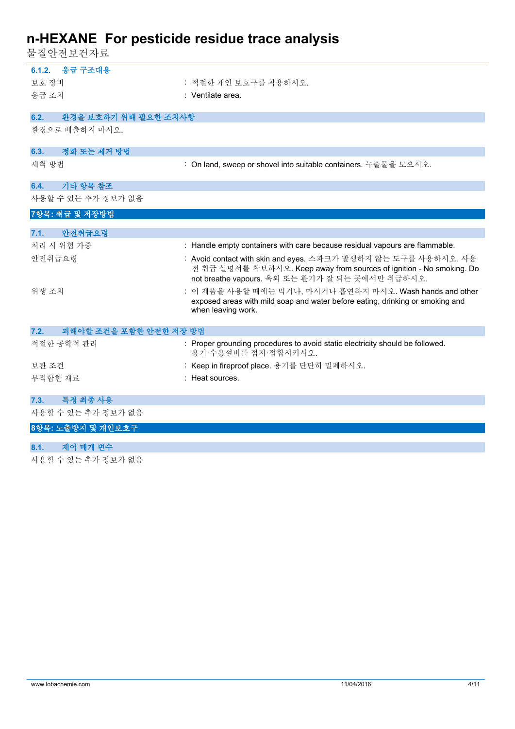물질안전보건자료

| 6.1.2. 응급 구조대용                 |                                                                                                                                                                                           |
|--------------------------------|-------------------------------------------------------------------------------------------------------------------------------------------------------------------------------------------|
| 보호 장비                          | : 적절한 개인 보호구를 착용하시오.                                                                                                                                                                      |
| 응급 조치                          | : Ventilate area.                                                                                                                                                                         |
| 6.2.<br>환경을 보호하기 위해 필요한 조치사항   |                                                                                                                                                                                           |
|                                |                                                                                                                                                                                           |
| 환경으로 배출하지 마시오.                 |                                                                                                                                                                                           |
| 정화 또는 제거 방법<br>6.3.            |                                                                                                                                                                                           |
| 세척 방법                          | : On land, sweep or shovel into suitable containers. 누출물을 모으시오.                                                                                                                           |
| 기타 항목 참조<br>6.4.               |                                                                                                                                                                                           |
| 사용할 수 있는 추가 정보가 없음             |                                                                                                                                                                                           |
| 7항목: 취급 및 저장방법                 |                                                                                                                                                                                           |
| 안전취급요령<br>7.1.                 |                                                                                                                                                                                           |
| 처리 시 위험 가중                     | : Handle empty containers with care because residual vapours are flammable.                                                                                                               |
| 안전취급요령                         | : Avoid contact with skin and eyes. 스파크가 발생하지 않는 도구를 사용하시오. 사용<br>전 취급 설명서를 확보하시오. Keep away from sources of ignition - No smoking. Do<br>not breathe vapours. 옥외 또는 환기가 잘 되는 곳에서만 취급하시오. |
| 위생 조치                          | : 이 제품을 사용할 때에는 먹거나, 마시거나 흡연하지 마시오. Wash hands and other<br>exposed areas with mild soap and water before eating, drinking or smoking and<br>when leaving work.                           |
| 피해야할 조건을 포함한 안전한 저장 방법<br>7.2. |                                                                                                                                                                                           |
| 적절한 공학적 관리                     | : Proper grounding procedures to avoid static electricity should be followed.<br>용기 수용설비를 접지 접합시키시오.                                                                                      |
| 보관 조건                          | : Keep in fireproof place. 용기를 단단히 밀폐하시오.                                                                                                                                                 |
| 부적합한 재료                        | : Heat sources.                                                                                                                                                                           |
|                                |                                                                                                                                                                                           |
| 특정 최종 사용<br>7.3.               |                                                                                                                                                                                           |
| 사용할 수 있는 추가 정보가 없음             |                                                                                                                                                                                           |
| 8항목: 노출방지 및 개인보호구              |                                                                                                                                                                                           |
|                                |                                                                                                                                                                                           |

# **8.1. 제어 매개 변수**

사용할 수 있는 추가 정보가 없음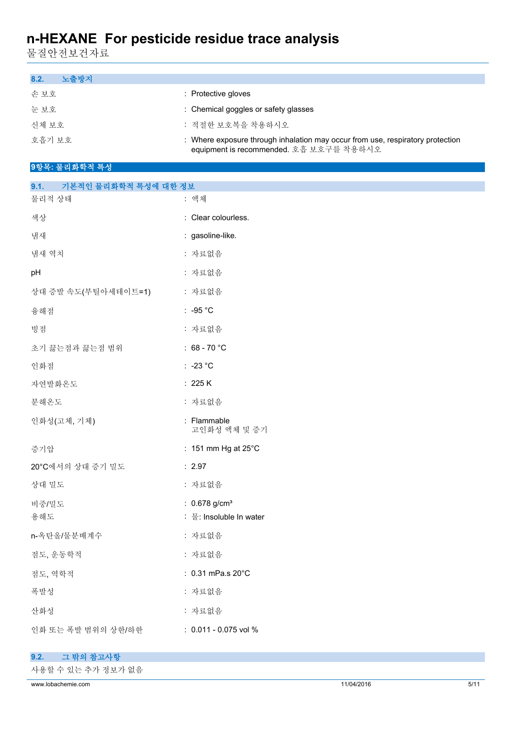물질안전보건자료

| 노출방지<br>8.2. |                                                                                                                           |
|--------------|---------------------------------------------------------------------------------------------------------------------------|
| 손보호          | : Protective gloves                                                                                                       |
| 눈 보호         | : Chemical goggles or safety glasses                                                                                      |
| 신체 보호        | : 적절하 보호복을 착용하시오                                                                                                          |
| 호흡기 보호       | : Where exposure through inhalation may occur from use, respiratory protection<br>equipment is recommended. 호흡 보호구를 착용하시오 |

# **9항목: 물리화학적 특성**

| 기본적인 물리화학적 특성에 대한 정보<br>9.1. |                               |
|------------------------------|-------------------------------|
| 물리적 상태                       | : 액체                          |
| 색상                           | : Clear colourless.           |
| 냄새                           | : gasoline-like.              |
| 냄새 역치                        | : 자료없음                        |
| pH                           | : 자료없음                        |
| 상대 증발 속도(부틸아세테이트=1)          | : 자료없음                        |
| 융해점                          | : -95 $^{\circ}$ C            |
| 빙점                           | : 자료없음                        |
| 초기 끓는점과 끓는점 범위               | : $68 - 70 °C$                |
| 인화점                          | $: -23 °C$                    |
| 자연발화온도                       | : 225 K                       |
| 분해온도                         | : 자료없음                        |
| 인화성(고체, 기체)                  | : Flammable<br>고인화성 액체 및 증기   |
| 증기압                          | : 151 mm Hg at $25^{\circ}$ C |
| 20°C에서의 상대 증기 밀도             | : 2.97                        |
| 상대 밀도                        | : 자료없음                        |
| 비중/밀도                        | : $0.678$ g/cm <sup>3</sup>   |
| 용해도                          | : 물: Insoluble In water       |
| n-옥탄올/물분배계수                  | : 자료없음                        |
| 점도, 운동학적                     | : 자료없음                        |
| 점도, 역학적                      | : 0.31 mPa.s 20°C             |
| 폭발성                          | : 자료없음                        |
| 산화성                          | : 자료없음                        |
| 인화 또는 폭발 범위의 상한/하한           | : 0.011 - 0.075 vol %         |

| 9.2. 그 밖의 참고사항     |
|--------------------|
| 사용할 수 있는 추가 정보가 없음 |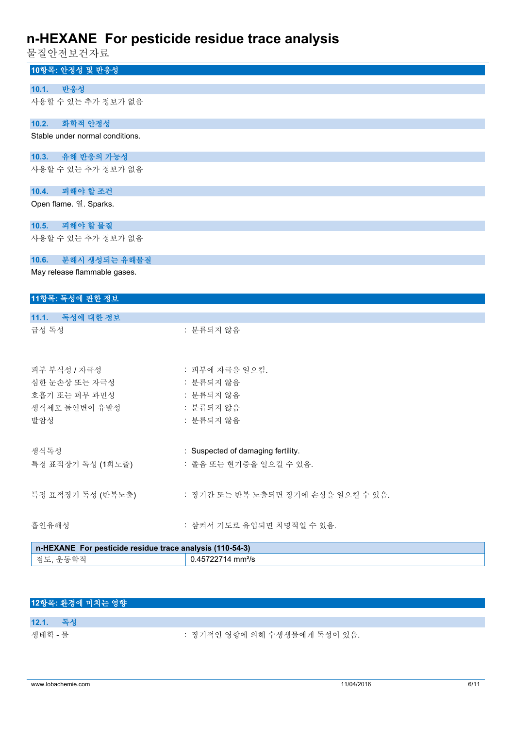물질안전보건자료

| 10항목: 안정성 및 반응성                                          |                                    |
|----------------------------------------------------------|------------------------------------|
| 반응성<br>10.1.                                             |                                    |
| 사용할 수 있는 추가 정보가 없음                                       |                                    |
| 10.2.<br>화학적 안정성                                         |                                    |
| Stable under normal conditions.                          |                                    |
| 유해 반응의 가능성<br>10.3.                                      |                                    |
| 사용할 수 있는 추가 정보가 없음                                       |                                    |
| 피해야 할 조건<br>10.4.                                        |                                    |
| Open flame. 열. Sparks.                                   |                                    |
| 피해야 할 물질<br>10.5.                                        |                                    |
| 사용할 수 있는 추가 정보가 없음                                       |                                    |
| 분해시 생성되는 유해물질<br>10.6.                                   |                                    |
| May release flammable gases.                             |                                    |
|                                                          |                                    |
| 11항목: 독성에 관한 정보                                          |                                    |
| 11.1. 독성에 대한 정보                                          |                                    |
| 급성 독성                                                    | : 분류되지 않음                          |
|                                                          |                                    |
| 피부 부식성 / 자극성                                             | : 피부에 자극을 일으킴.                     |
| 심한 눈손상 또는 자극성                                            | : 분류되지 않음                          |
| 호흡기 또는 피부 과민성                                            | : 분류되지 않음                          |
| 생식세포 돌연변이 유발성                                            | : 분류되지 않음                          |
| 발암성                                                      | : 분류되지 않음                          |
|                                                          |                                    |
| 생식독성                                                     | : Suspected of damaging fertility. |
| 특정 표적장기 독성 (1회노출)                                        | : 졸음 또는 현기증을 일으킬 수 있음.             |
|                                                          |                                    |
| 특정 표적장기 독성 (반복노출)                                        | : 장기간 또는 반복 노출되면 장기에 손상을 일으킬 수 있음. |
| 흡인유해성                                                    | : 삼켜서 기도로 유입되면 치명적일 수 있음.          |
| n-HEXANE For pesticide residue trace analysis (110-54-3) |                                    |
| 점도, 운동학적                                                 | 0.45722714 mm <sup>2</sup> /s      |

# **12항목: 환경에 미치는 영향**

**12.1. 독성**

생태학 - 물 : 장기적인 영향에 의해 수생생물에게 독성이 있음.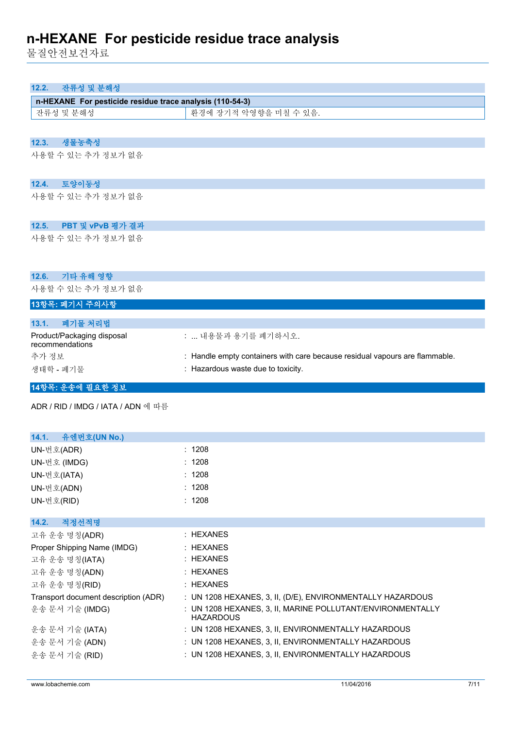물질안전보건자료

| 잔류성 및 분해성<br>12.2.                                       |                       |
|----------------------------------------------------------|-----------------------|
| n-HEXANE For pesticide residue trace analysis (110-54-3) |                       |
| 잔류성 및 분해성                                                | 환경에 장기적 악영향을 미칠 수 있음. |
|                                                          |                       |
| 생물농축성<br>12.3.                                           |                       |
| 사용할 수 있는 추가 정보가 없음                                       |                       |
| 토양이동성<br>12.4.                                           |                       |
| 사용할 수 있는 추가 정보가 없음                                       |                       |
| PBT 및 vPvB 평가 결과<br>12.5.                                |                       |
| 사용할 수 있는 추가 정보가 없음                                       |                       |
| 12.6.<br>기타 유해 영향                                        |                       |
| 사용할 수 있는 추가 정보가 없음                                       |                       |
| 13항목: 폐기시 주의사항                                           |                       |
| 폐기문 처리버<br>131                                           |                       |

| :  내용물과 용기를 폐기하시오.                                                          |
|-----------------------------------------------------------------------------|
| : Handle empty containers with care because residual vapours are flammable. |
| : Hazardous waste due to toxicity.                                          |
|                                                                             |

# **14항목: 운송에 필요한 정보**

ADR / RID / IMDG / IATA / ADN 에 따름

| : 1208                                                                         |
|--------------------------------------------------------------------------------|
| : 1208                                                                         |
| : 1208                                                                         |
| : 1208                                                                         |
| : 1208                                                                         |
|                                                                                |
|                                                                                |
| : HEXANES                                                                      |
| : HEXANES                                                                      |
| : HEXANES                                                                      |
| : HEXANES                                                                      |
| : HEXANES                                                                      |
| : UN 1208 HEXANES, 3, II, (D/E), ENVIRONMENTALLY HAZARDOUS                     |
| : UN 1208 HEXANES, 3, II, MARINE POLLUTANT/ENVIRONMENTALLY<br><b>HAZARDOUS</b> |
| : UN 1208 HEXANES, 3, II, ENVIRONMENTALLY HAZARDOUS                            |
| : UN 1208 HEXANES, 3, II, ENVIRONMENTALLY HAZARDOUS                            |
| : UN 1208 HEXANES, 3, II, ENVIRONMENTALLY HAZARDOUS                            |
|                                                                                |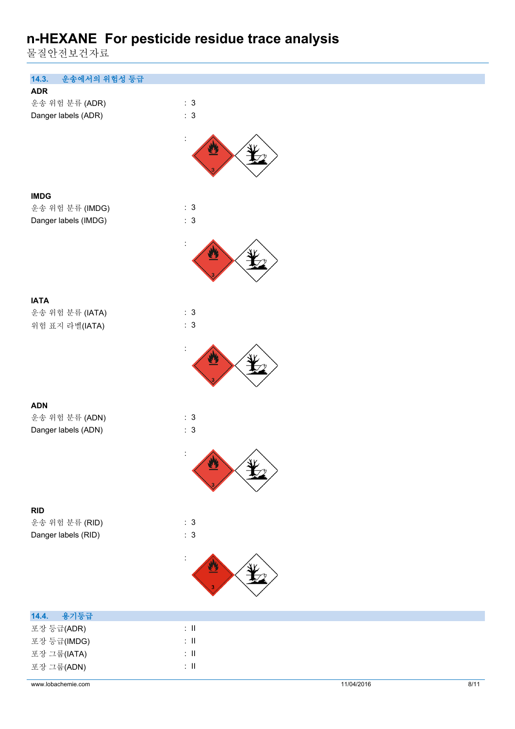물질안전보건자료

| 14.3.<br>운송에서의 위험성 등급<br><b>ADR</b><br>: 3<br>운송 위험 분류 (ADR)<br>: 3<br>Danger labels (ADR)<br><b>IMDG</b><br>: 3<br>운송 위험 분류 (IMDG)<br>: 3<br>Danger labels (IMDG)<br><b>IATA</b><br>: 3<br>운송 위험 분류 (IATA)<br>: 3<br>위험 표지 라벨(IATA) |
|--------------------------------------------------------------------------------------------------------------------------------------------------------------------------------------------------------------------------------------|
|                                                                                                                                                                                                                                      |
|                                                                                                                                                                                                                                      |
|                                                                                                                                                                                                                                      |
|                                                                                                                                                                                                                                      |
|                                                                                                                                                                                                                                      |
|                                                                                                                                                                                                                                      |
|                                                                                                                                                                                                                                      |
|                                                                                                                                                                                                                                      |
|                                                                                                                                                                                                                                      |
|                                                                                                                                                                                                                                      |
|                                                                                                                                                                                                                                      |
|                                                                                                                                                                                                                                      |
|                                                                                                                                                                                                                                      |
|                                                                                                                                                                                                                                      |
|                                                                                                                                                                                                                                      |
| <b>ADN</b>                                                                                                                                                                                                                           |
| : 3<br>운송 위험 분류 (ADN)                                                                                                                                                                                                                |
| Danger labels (ADN)<br>: 3                                                                                                                                                                                                           |
|                                                                                                                                                                                                                                      |
| ╱<br><b>All Control</b>                                                                                                                                                                                                              |
|                                                                                                                                                                                                                                      |
| <b>RID</b><br>: 3                                                                                                                                                                                                                    |
| 운송 위험 분류 (RID)                                                                                                                                                                                                                       |
| $\therefore$ 3<br>Danger labels (RID)                                                                                                                                                                                                |
| $\ddot{\cdot}$                                                                                                                                                                                                                       |
| 용기등급<br>14.4.                                                                                                                                                                                                                        |
| $\colon \, \mathrm{II}$<br>포장 등급(ADR)                                                                                                                                                                                                |
| $\div$ II<br>포장 등급(IMDG)                                                                                                                                                                                                             |
| $\colon \, \mathrm{I\!I}$<br>포장 그룹(IATA)                                                                                                                                                                                             |
| $\div$ II<br>포장 그룹(ADN)                                                                                                                                                                                                              |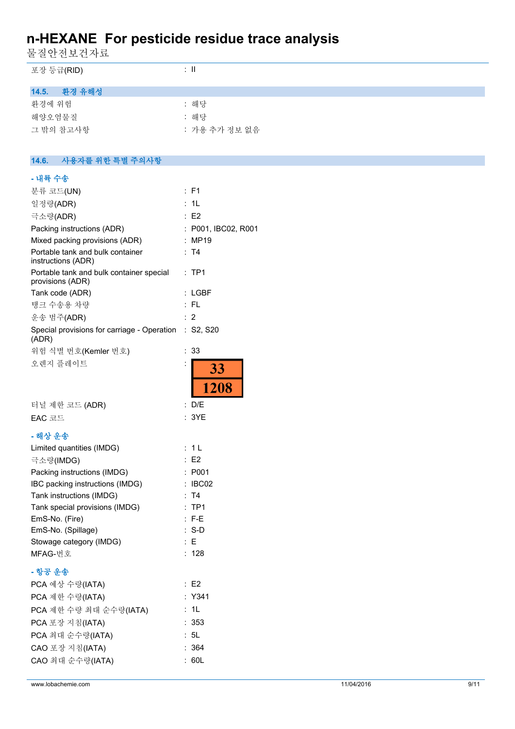물질안전보건자료

| 포장 등급(RID)                                                   | $\colon$ II         |
|--------------------------------------------------------------|---------------------|
| 14.5.<br>환경 유해성                                              |                     |
| 환경에 위험                                                       | : 해당                |
| 해양오염물질                                                       | : 해당                |
| 그 밖의 참고사항                                                    | : 가용 추가 정보 없음       |
|                                                              |                     |
| 14.6.<br>사용자를 위한 특별 주의사항                                     |                     |
| - 내륙 수송                                                      |                     |
| 분류 코드(UN)                                                    | : F1                |
| 일정량(ADR)                                                     | : 1L                |
| 극소량(ADR)                                                     | : E2                |
| Packing instructions (ADR)                                   | : P001, IBC02, R001 |
| Mixed packing provisions (ADR)                               | : MP19              |
| Portable tank and bulk container<br>instructions (ADR)       | : T4                |
| Portable tank and bulk container special<br>provisions (ADR) | :TP1                |
| Tank code (ADR)                                              | : LGBF              |
| 탱크 수송용 차량                                                    | :FL                 |
| 운송 범주(ADR)                                                   | : 2                 |
| Special provisions for carriage - Operation<br>(ADR)         | : S2, S20           |
| 위험 식별 번호(Kemler 번호)                                          | : 33                |
| 오렌지 플레이트                                                     | 33                  |
|                                                              | 1208                |
| 터널 제한 코드 (ADR)                                               | : D/E               |
| EAC 코드                                                       | : 3YE               |
| - 해상 운송                                                      |                     |
| Limited quantities (IMDG)                                    | : 1L                |
| 극소량(IMDG)                                                    | $\therefore$ E2     |
| Packing instructions (IMDG)                                  | : P001              |
| IBC packing instructions (IMDG)                              | : IBC02             |
| Tank instructions (IMDG)                                     | : T4                |
| Tank special provisions (IMDG)                               | :TP1                |
| EmS-No. (Fire)                                               | $: F-E$             |
| EmS-No. (Spillage)                                           | $: S-D$             |
| Stowage category (IMDG)                                      | E                   |
| MFAG-번호                                                      | : 128               |
| - 항공 운송                                                      |                     |
| PCA 예상 수량(IATA)                                              | $\therefore$ E2     |
| PCA 제한 수량(IATA)                                              | : Y341              |
| PCA 제한 수량 최대 순수량(IATA)                                       | : 1L                |
| PCA 포장 지침(IATA)                                              | : 353               |
| PCA 최대 순수량(IATA)                                             | : 5L                |
| CAO 포장 지침(IATA)                                              | : 364               |
| CAO 최대 순수량(IATA)                                             | : 60L               |
|                                                              |                     |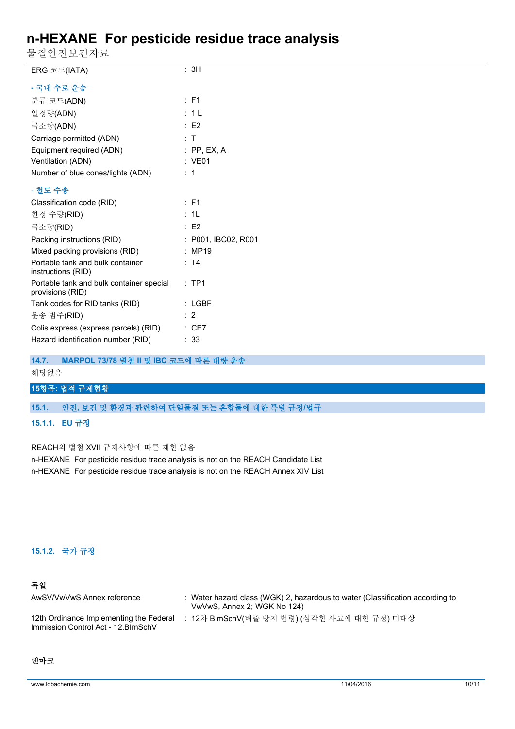물질안전보건자료

| - - - - - - - - -                                            |                     |
|--------------------------------------------------------------|---------------------|
| ERG 코드(IATA)                                                 | : 3H                |
| - 국내 수로 운송                                                   |                     |
| 분류 코드(ADN)                                                   | $\therefore$ F1     |
| 일정량(ADN)                                                     | : 1L                |
| 극소량(ADN)                                                     | $\therefore$ E2     |
| Carriage permitted (ADN)                                     | : T                 |
| Equipment required (ADN)                                     | $:$ PP, EX, A       |
| Ventilation (ADN)                                            | : VE01              |
| Number of blue cones/lights (ADN)                            | $\therefore$ 1      |
| - 철도 수송                                                      |                     |
| Classification code (RID)                                    | $:$ F1              |
| 한정 수량(RID)                                                   | : 1L                |
| 극소량(RID)                                                     | $\therefore$ E2     |
| Packing instructions (RID)                                   | : P001, IBC02, R001 |
| Mixed packing provisions (RID)                               | : MP19              |
| Portable tank and bulk container<br>instructions (RID)       | : T4                |
| Portable tank and bulk container special<br>provisions (RID) | $:$ TP1             |
| Tank codes for RID tanks (RID)                               | $:$ LGBF            |
| 운송 범주(RID)                                                   | $\therefore$ 2      |
| Colis express (express parcels) (RID)                        | $\therefore$ CE7    |
| Hazard identification number (RID)                           | : 33                |
|                                                              |                     |

### **14.7. MARPOL 73/78 별첨 II 및 IBC 코드에 따른 대량 운송**

### 해당없음

## **15항목: 법적 규제현황**

### **15.1. 안전, 보건 및 환경과 관련하여 단일물질 또는 혼합물에 대한 특별 규정/법규**

#### **15.1.1. EU 규정**

REACH의 별첨 XVII 규제사항에 따른 제한 없음

n-HEXANE For pesticide residue trace analysis is not on the REACH Candidate List n-HEXANE For pesticide residue trace analysis is not on the REACH Annex XIV List

## **15.1.2. 국가 규정**

## **독일**

| AwSV/VwVwS Annex reference                                                     | : Water hazard class (WGK) 2, hazardous to water (Classification according to<br>VwVwS, Annex 2; WGK No 124) |
|--------------------------------------------------------------------------------|--------------------------------------------------------------------------------------------------------------|
| 12th Ordinance Implementing the Federal<br>Immission Control Act - 12. BlmSchV | : 12차 BlmSchV(배출 방지 법령) (심각한 사고에 대한 규정) 미대상                                                                  |

# **덴마크**